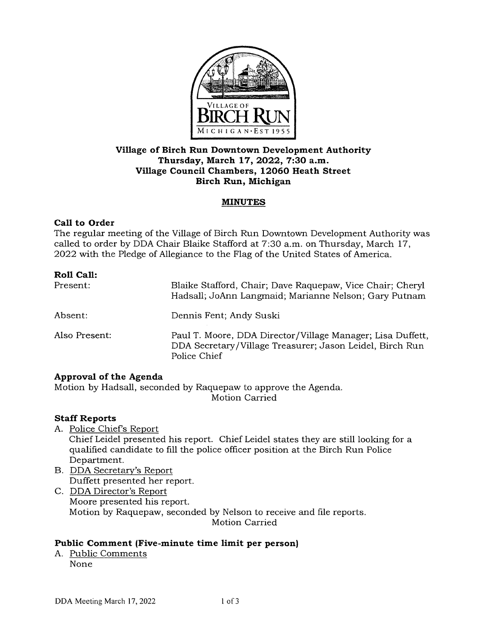

## **Village of Birch Run Downtown Development Authority Thursday, March 17, 2022, 7:30 a.m. Village Council Chambers, 12060 Heath Street Birch Run, Michigan**

## **MINUTES**

## **Call to Order**

The regular meeting of the Village of Birch Run Downtown Development Authority was called to order by DDA Chair Blaike Stafford at 7:30 a.m. on Thursday, March 17, 2022 with the Pledge of Allegiance to the Flag of the United States of America.

| Roll Call:    |                                                                                                                                        |
|---------------|----------------------------------------------------------------------------------------------------------------------------------------|
| Present:      | Blaike Stafford, Chair; Dave Raquepaw, Vice Chair; Cheryl<br>Hadsall; JoAnn Langmaid; Marianne Nelson; Gary Putnam                     |
| Absent:       | Dennis Fent; Andy Suski                                                                                                                |
| Also Present: | Paul T. Moore, DDA Director/Village Manager; Lisa Duffett,<br>DDA Secretary/Village Treasurer; Jason Leidel, Birch Run<br>Police Chief |

## **Approval of the Agenda**

Motion by Hadsall, seconded by Raquepaw to approve the Agenda. Motion Carried

## **Staff Reports**

- A. Police Chiefs Report Chief Leidel presented his report. Chief Leidel states they are still looking for a qualified candidate to fill the police officer position at the Birch Run Police Department.
- B. DDA Secretary's Report Duffett presented her report.
- C. DDA Director's Report Moore presented his report. Motion by Raquepaw, seconded by Nelson to receive and file reports. Motion Carried

## **Public Comment (Five-minute time limit per person)**

A. Public Comments None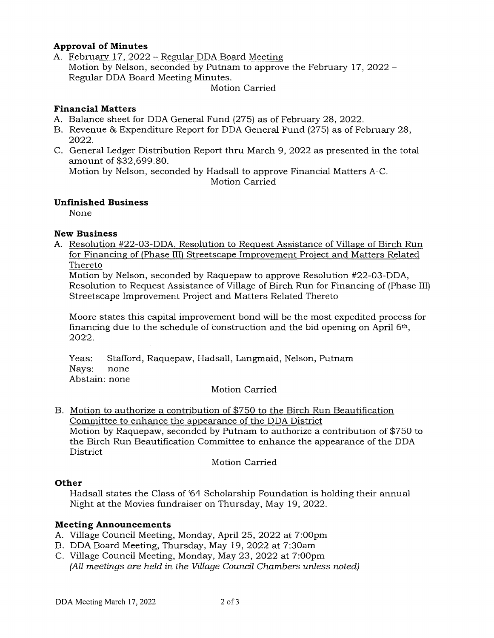### **Approval of Minutes**

A. February 17, 2022 - Regular DDA Board Meeting Motion by Nelson, seconded by Putnam to approve the February 17, 2022 - Regular DDA Board Meeting Minutes.

Motion Carried

#### **Financial Matters**

- A. Balance sheet for DDA General Fund (275) as of February 28, 2022.
- B. Revenue & Expenditure Report for DDA General Fund (275) as of February 28, 2022.
- C. General Ledger Distribution Report thru March 9, 2022 as presented in the total amount of \$32,699.80. Motion by Nelson, seconded by Hadsall to approve Financial Matters A-C.

Motion Carried

#### **Unfinished Business**

None

#### **New Business**

A. Resolution #22-03-DDA, Resolution to Request Assistance of Village of Birch Run for Financing of (Phase III) Streetscape Improvement Project and Matters Related Thereto

Motion by Nelson, seconded by Raquepaw to approve Resolution #22-03-DDA, Resolution to Request Assistance of Village of Birch Run for Financing of (Phase III) Streetscape Improvement Project and Matters Related Thereto

Moore states this capital improvement bond will be the most expedited process for financing due to the schedule of construction and the bid opening on April 6th, 2022.

Yeas: Stafford, Raquepaw, Hadsall, Langmaid, Nelson, Putnam Nays: none Abstain: none

Motion Carried

B. Motion to authorize a contribution of \$750 to the Birch Run Beautification Committee to enhance the appearance of the DDA District Motion by Raquepaw, seconded by Putnam to authorize a contribution of \$750 to the Birch Run Beautification Committee to enhance the appearance of the DDA District

Motion Carried

#### **Other**

Hadsall states the Class of '64 Scholarship Foundation is holding their annual Night at the Movies fundraiser on Thursday, May 19, 2022.

#### **Meeting Announcements**

- A. Village Council Meeting, Monday, April 25, 2022 at 7:00pm
- B. DDA Board Meeting, Thursday, May 19, 2022 at 7:30am
- C. Village Council Meeting, Monday, May 23, 2022 at 7:00pm {All meetings are held in the Village Council Chambers unless noted)